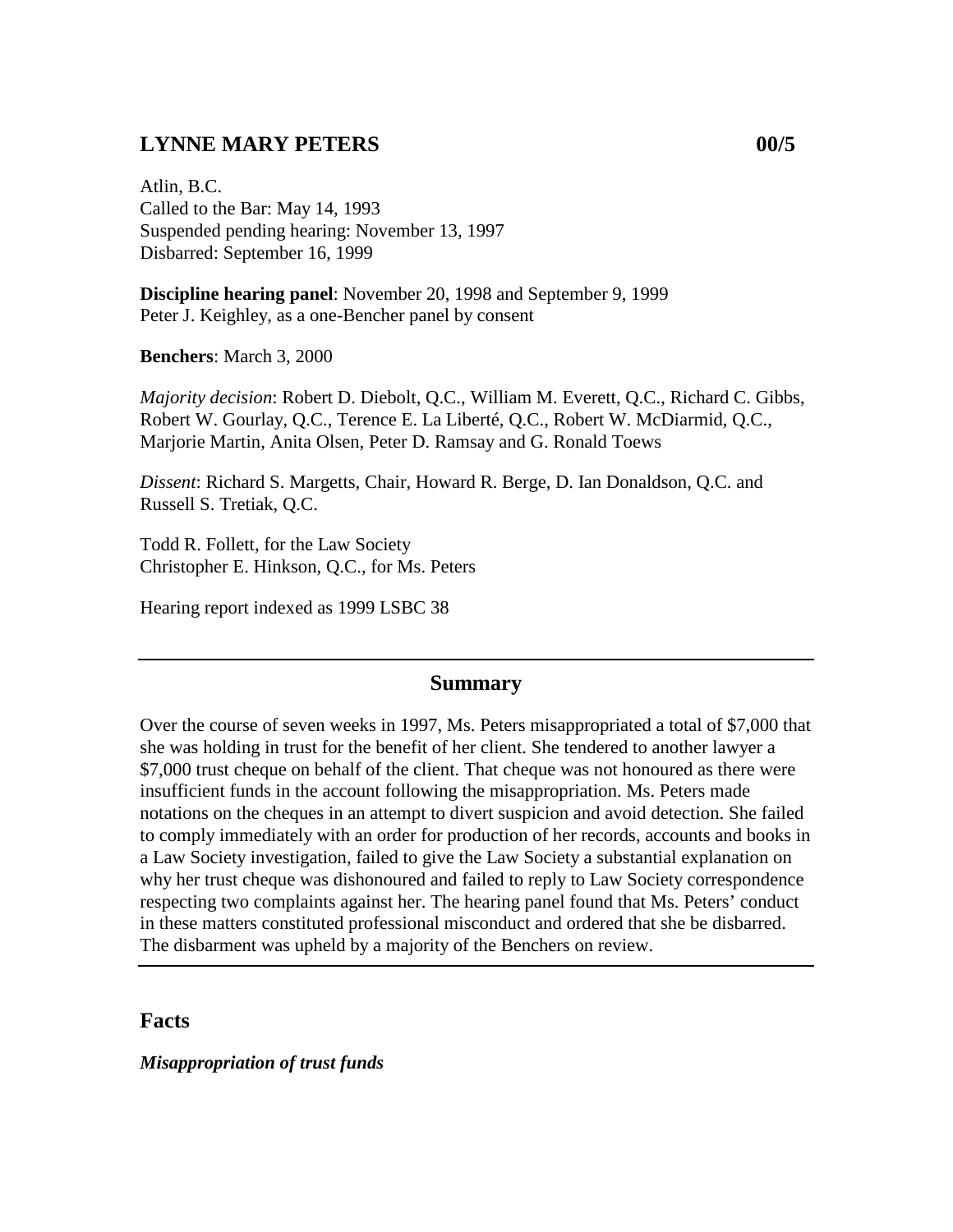### **LYNNE MARY PETERS 00/5**

Atlin, B.C. Called to the Bar: May 14, 1993 Suspended pending hearing: November 13, 1997 Disbarred: September 16, 1999

**Discipline hearing panel**: November 20, 1998 and September 9, 1999 Peter J. Keighley, as a one-Bencher panel by consent

**Benchers**: March 3, 2000

*Majority decision*: Robert D. Diebolt, Q.C., William M. Everett, Q.C., Richard C. Gibbs, Robert W. Gourlay, Q.C., Terence E. La Liberté, Q.C., Robert W. McDiarmid, Q.C., Marjorie Martin, Anita Olsen, Peter D. Ramsay and G. Ronald Toews

*Dissent*: Richard S. Margetts, Chair, Howard R. Berge, D. Ian Donaldson, Q.C. and Russell S. Tretiak, Q.C.

Todd R. Follett, for the Law Society Christopher E. Hinkson, Q.C., for Ms. Peters

Hearing report indexed as 1999 LSBC 38

#### **Summary**

Over the course of seven weeks in 1997, Ms. Peters misappropriated a total of \$7,000 that she was holding in trust for the benefit of her client. She tendered to another lawyer a \$7,000 trust cheque on behalf of the client. That cheque was not honoured as there were insufficient funds in the account following the misappropriation. Ms. Peters made notations on the cheques in an attempt to divert suspicion and avoid detection. She failed to comply immediately with an order for production of her records, accounts and books in a Law Society investigation, failed to give the Law Society a substantial explanation on why her trust cheque was dishonoured and failed to reply to Law Society correspondence respecting two complaints against her. The hearing panel found that Ms. Peters' conduct in these matters constituted professional misconduct and ordered that she be disbarred. The disbarment was upheld by a majority of the Benchers on review.

#### **Facts**

*Misappropriation of trust funds*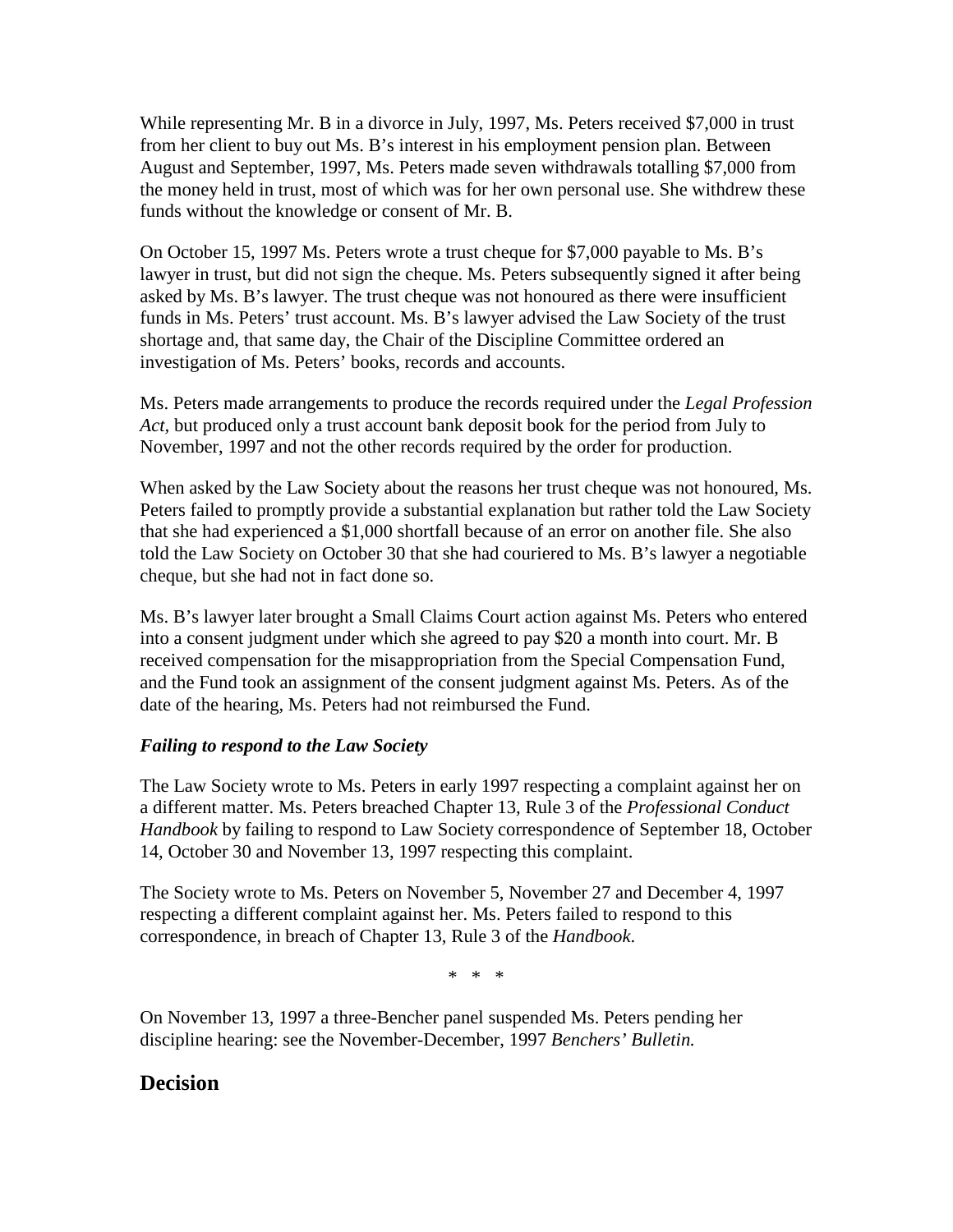While representing Mr. B in a divorce in July, 1997, Ms. Peters received \$7,000 in trust from her client to buy out Ms. B's interest in his employment pension plan. Between August and September, 1997, Ms. Peters made seven withdrawals totalling \$7,000 from the money held in trust, most of which was for her own personal use. She withdrew these funds without the knowledge or consent of Mr. B.

On October 15, 1997 Ms. Peters wrote a trust cheque for \$7,000 payable to Ms. B's lawyer in trust, but did not sign the cheque. Ms. Peters subsequently signed it after being asked by Ms. B's lawyer. The trust cheque was not honoured as there were insufficient funds in Ms. Peters' trust account. Ms. B's lawyer advised the Law Society of the trust shortage and, that same day, the Chair of the Discipline Committee ordered an investigation of Ms. Peters' books, records and accounts.

Ms. Peters made arrangements to produce the records required under the *Legal Profession Act,* but produced only a trust account bank deposit book for the period from July to November, 1997 and not the other records required by the order for production.

When asked by the Law Society about the reasons her trust cheque was not honoured, Ms. Peters failed to promptly provide a substantial explanation but rather told the Law Society that she had experienced a \$1,000 shortfall because of an error on another file. She also told the Law Society on October 30 that she had couriered to Ms. B's lawyer a negotiable cheque, but she had not in fact done so.

Ms. B's lawyer later brought a Small Claims Court action against Ms. Peters who entered into a consent judgment under which she agreed to pay \$20 a month into court. Mr. B received compensation for the misappropriation from the Special Compensation Fund, and the Fund took an assignment of the consent judgment against Ms. Peters. As of the date of the hearing, Ms. Peters had not reimbursed the Fund.

#### *Failing to respond to the Law Society*

The Law Society wrote to Ms. Peters in early 1997 respecting a complaint against her on a different matter. Ms. Peters breached Chapter 13, Rule 3 of the *Professional Conduct Handbook* by failing to respond to Law Society correspondence of September 18, October 14, October 30 and November 13, 1997 respecting this complaint.

The Society wrote to Ms. Peters on November 5, November 27 and December 4, 1997 respecting a different complaint against her. Ms. Peters failed to respond to this correspondence, in breach of Chapter 13, Rule 3 of the *Handbook*.

\* \* \*

On November 13, 1997 a three-Bencher panel suspended Ms. Peters pending her discipline hearing: see the November-December, 1997 *Benchers' Bulletin.*

#### **Decision**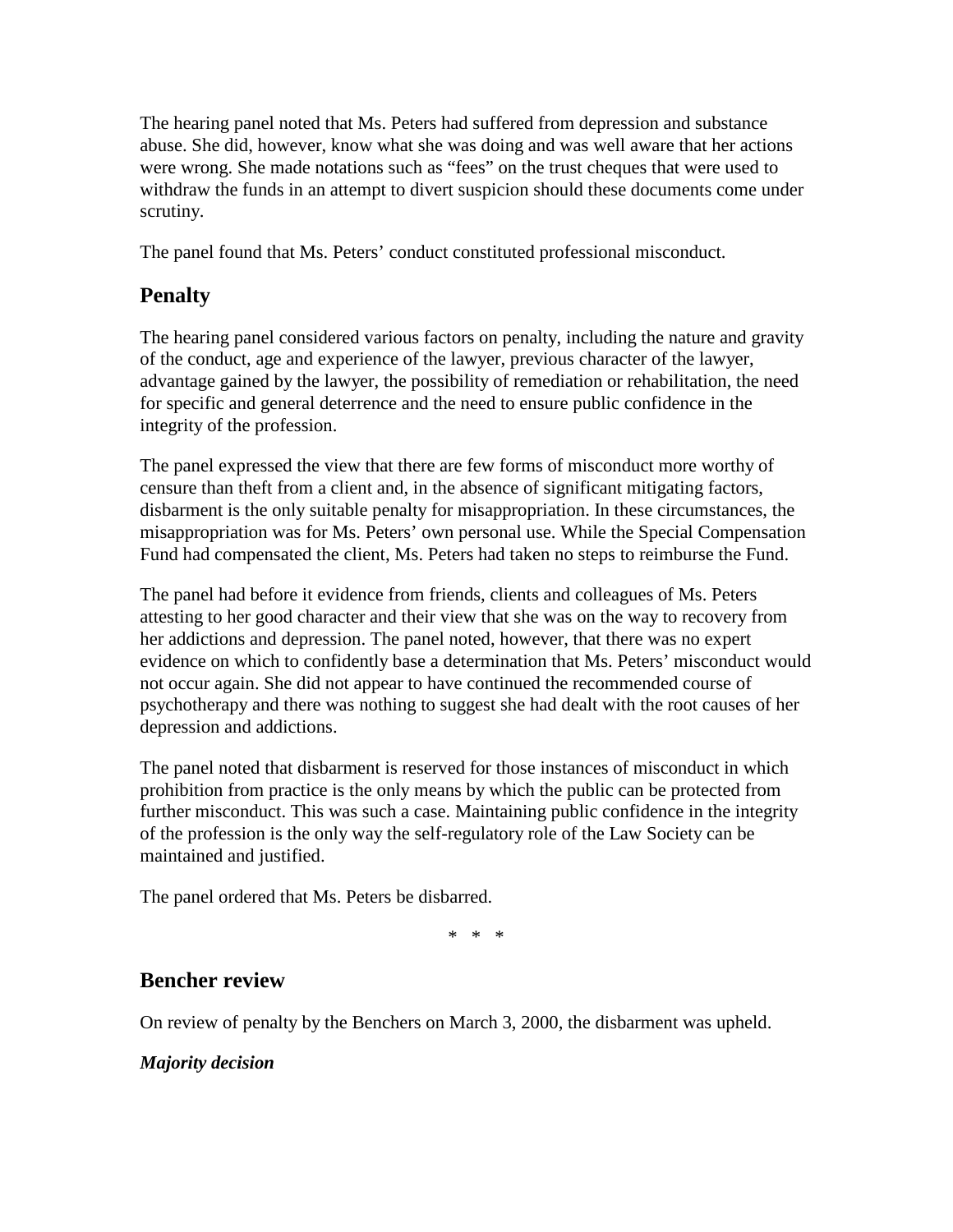The hearing panel noted that Ms. Peters had suffered from depression and substance abuse. She did, however, know what she was doing and was well aware that her actions were wrong. She made notations such as "fees" on the trust cheques that were used to withdraw the funds in an attempt to divert suspicion should these documents come under scrutiny.

The panel found that Ms. Peters' conduct constituted professional misconduct.

# **Penalty**

The hearing panel considered various factors on penalty, including the nature and gravity of the conduct, age and experience of the lawyer, previous character of the lawyer, advantage gained by the lawyer, the possibility of remediation or rehabilitation, the need for specific and general deterrence and the need to ensure public confidence in the integrity of the profession.

The panel expressed the view that there are few forms of misconduct more worthy of censure than theft from a client and, in the absence of significant mitigating factors, disbarment is the only suitable penalty for misappropriation. In these circumstances, the misappropriation was for Ms. Peters' own personal use. While the Special Compensation Fund had compensated the client, Ms. Peters had taken no steps to reimburse the Fund.

The panel had before it evidence from friends, clients and colleagues of Ms. Peters attesting to her good character and their view that she was on the way to recovery from her addictions and depression. The panel noted, however, that there was no expert evidence on which to confidently base a determination that Ms. Peters' misconduct would not occur again. She did not appear to have continued the recommended course of psychotherapy and there was nothing to suggest she had dealt with the root causes of her depression and addictions.

The panel noted that disbarment is reserved for those instances of misconduct in which prohibition from practice is the only means by which the public can be protected from further misconduct. This was such a case. Maintaining public confidence in the integrity of the profession is the only way the self-regulatory role of the Law Society can be maintained and justified.

The panel ordered that Ms. Peters be disbarred.

\* \* \*

## **Bencher review**

On review of penalty by the Benchers on March 3, 2000, the disbarment was upheld.

### *Majority decision*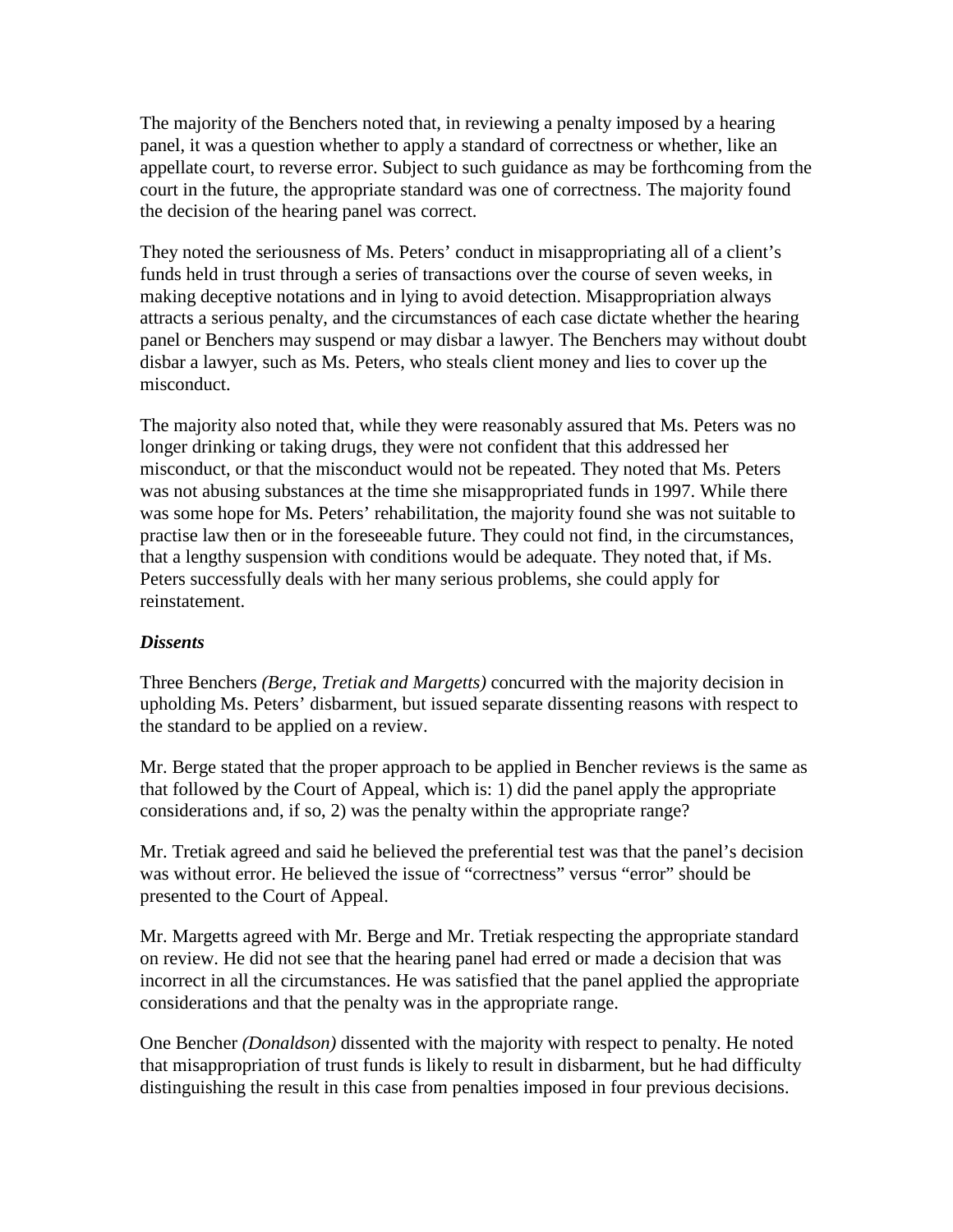The majority of the Benchers noted that, in reviewing a penalty imposed by a hearing panel, it was a question whether to apply a standard of correctness or whether, like an appellate court, to reverse error. Subject to such guidance as may be forthcoming from the court in the future, the appropriate standard was one of correctness. The majority found the decision of the hearing panel was correct.

They noted the seriousness of Ms. Peters' conduct in misappropriating all of a client's funds held in trust through a series of transactions over the course of seven weeks, in making deceptive notations and in lying to avoid detection. Misappropriation always attracts a serious penalty, and the circumstances of each case dictate whether the hearing panel or Benchers may suspend or may disbar a lawyer. The Benchers may without doubt disbar a lawyer, such as Ms. Peters, who steals client money and lies to cover up the misconduct.

The majority also noted that, while they were reasonably assured that Ms. Peters was no longer drinking or taking drugs, they were not confident that this addressed her misconduct, or that the misconduct would not be repeated. They noted that Ms. Peters was not abusing substances at the time she misappropriated funds in 1997. While there was some hope for Ms. Peters' rehabilitation, the majority found she was not suitable to practise law then or in the foreseeable future. They could not find, in the circumstances, that a lengthy suspension with conditions would be adequate. They noted that, if Ms. Peters successfully deals with her many serious problems, she could apply for reinstatement.

#### *Dissents*

Three Benchers *(Berge, Tretiak and Margetts)* concurred with the majority decision in upholding Ms. Peters' disbarment, but issued separate dissenting reasons with respect to the standard to be applied on a review.

Mr. Berge stated that the proper approach to be applied in Bencher reviews is the same as that followed by the Court of Appeal, which is: 1) did the panel apply the appropriate considerations and, if so, 2) was the penalty within the appropriate range?

Mr. Tretiak agreed and said he believed the preferential test was that the panel's decision was without error. He believed the issue of "correctness" versus "error" should be presented to the Court of Appeal.

Mr. Margetts agreed with Mr. Berge and Mr. Tretiak respecting the appropriate standard on review. He did not see that the hearing panel had erred or made a decision that was incorrect in all the circumstances. He was satisfied that the panel applied the appropriate considerations and that the penalty was in the appropriate range.

One Bencher *(Donaldson)* dissented with the majority with respect to penalty. He noted that misappropriation of trust funds is likely to result in disbarment, but he had difficulty distinguishing the result in this case from penalties imposed in four previous decisions.